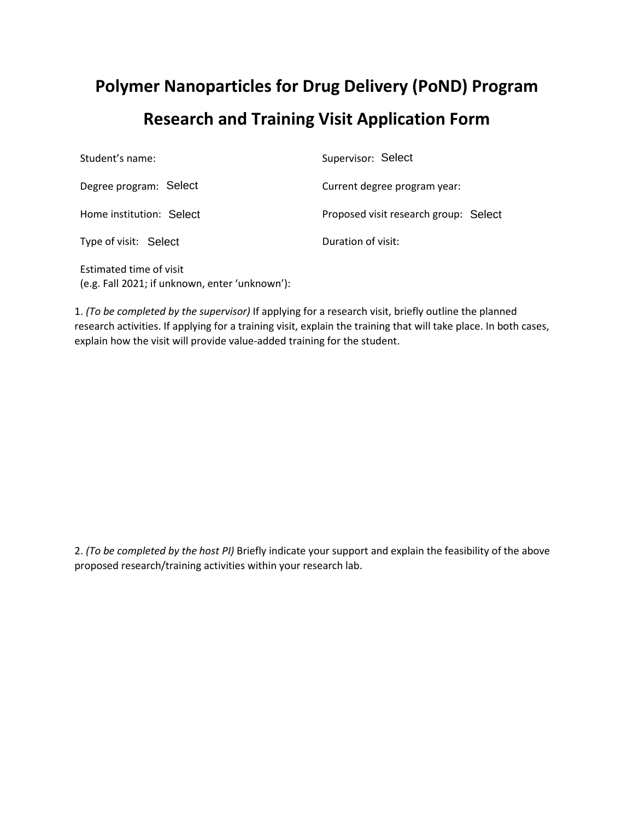## **Polymer Nanoparticles for Drug Delivery (PoND) Program Research and Training Visit Application Form**

| Student's name:          | Supervisor: Select                    |
|--------------------------|---------------------------------------|
| Degree program: Select   | Current degree program year:          |
| Home institution: Select | Proposed visit research group: Select |
| Type of visit: Select    | Duration of visit:                    |
|                          |                                       |

Estimated time of visit (e.g. Fall 2021; if unknown, enter 'unknown'):

1. *(To be completed by the supervisor)* If applying for a research visit, briefly outline the planned research activities. If applying for a training visit, explain the training that will take place. In both cases, explain how the visit will provide value-added training for the student.

2. *(To be completed by the host PI)* Briefly indicate your support and explain the feasibility of the above proposed research/training activities within your research lab.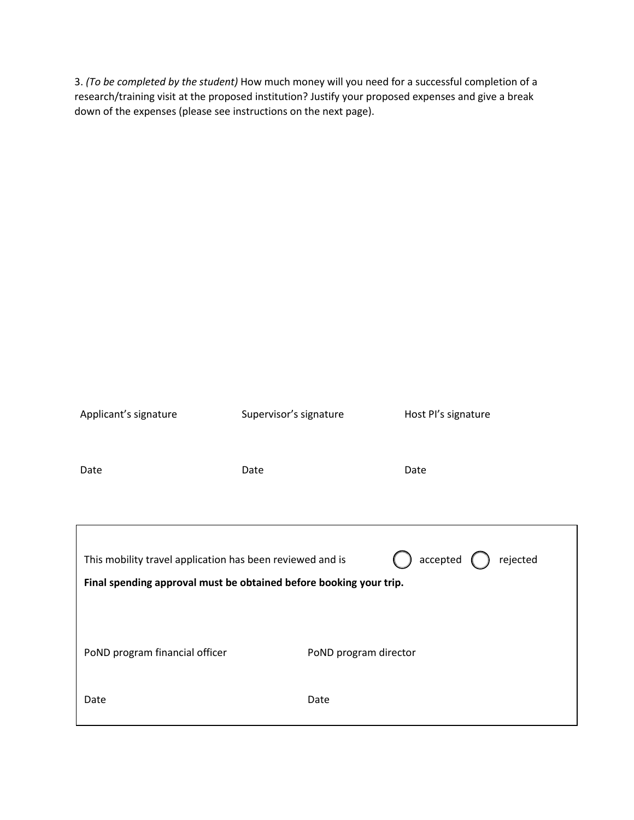3. *(To be completed by the student)* How much money will you need for a successful completion of a research/training visit at the proposed institution? Justify your proposed expenses and give a break down of the expenses (please see instructions on the next page).

| Applicant's signature                                                                                                                                              | Supervisor's signature | Host PI's signature |  |
|--------------------------------------------------------------------------------------------------------------------------------------------------------------------|------------------------|---------------------|--|
| Date                                                                                                                                                               | Date                   | Date                |  |
| $accepted$ $\left($<br>rejected<br>This mobility travel application has been reviewed and is<br>Final spending approval must be obtained before booking your trip. |                        |                     |  |
| PoND program financial officer                                                                                                                                     | PoND program director  |                     |  |
| Date                                                                                                                                                               | Date                   |                     |  |